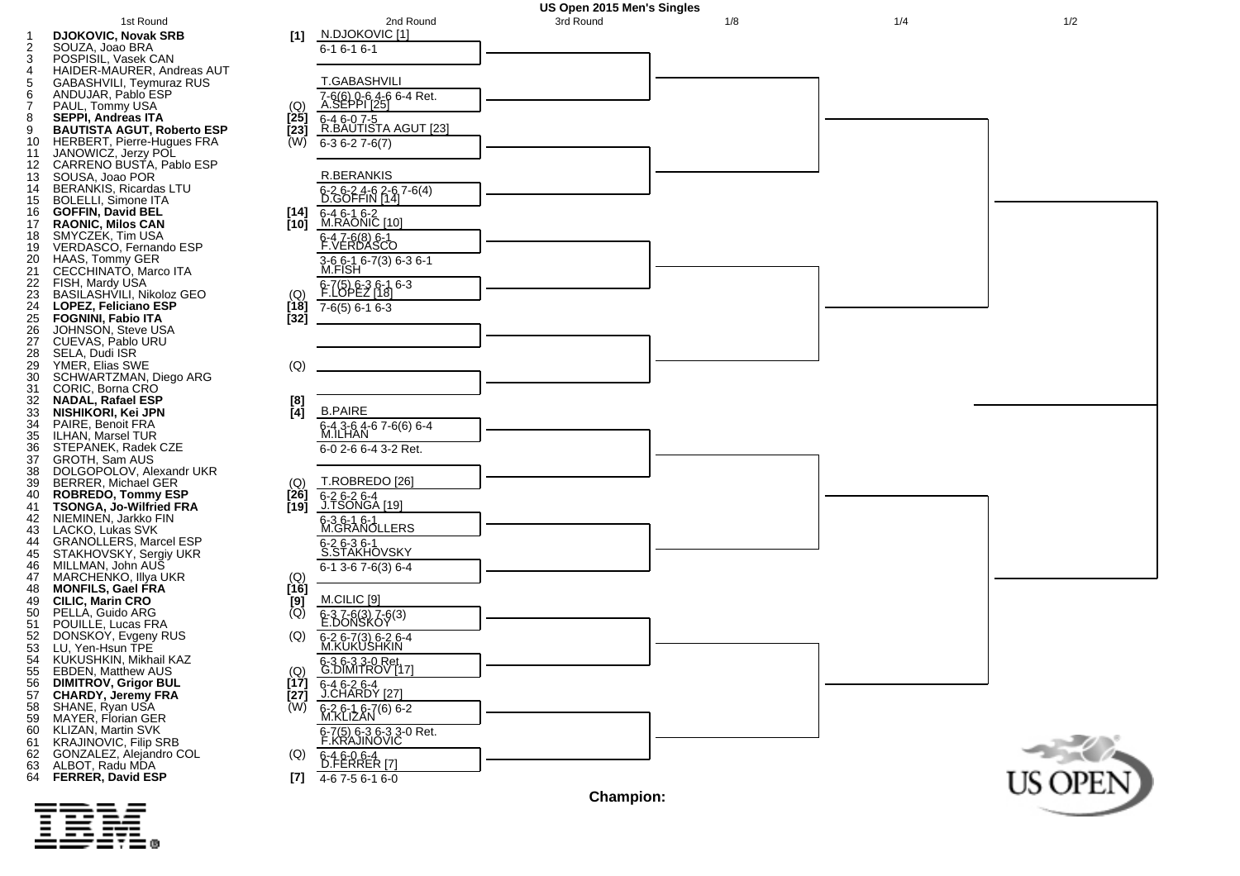



123456789

 $\overline{\mathbf{1}}$